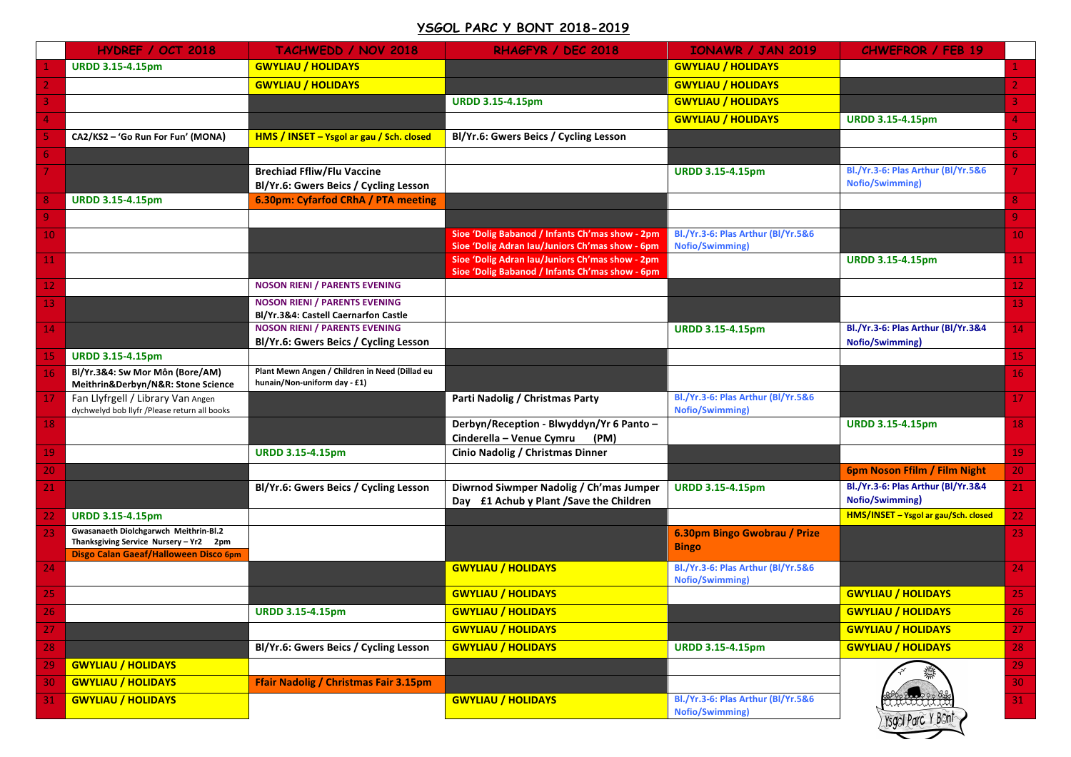## **YSGOL PARC Y BONT 2018-2019**

|                 | HYDREF / OCT 2018                                                                                                        | <b>TACHWEDD / NOV 2018</b>                                                     | RHAGFYR / DEC 2018                                                                                 | <b>IONAWR / JAN 2019</b>                                     | <b>CHWEFROR / FEB 19</b>                                     |                 |
|-----------------|--------------------------------------------------------------------------------------------------------------------------|--------------------------------------------------------------------------------|----------------------------------------------------------------------------------------------------|--------------------------------------------------------------|--------------------------------------------------------------|-----------------|
|                 | <b>URDD 3.15-4.15pm</b>                                                                                                  | <b>GWYLIAU / HOLIDAYS</b>                                                      |                                                                                                    | <b>GWYLIAU / HOLIDAYS</b>                                    |                                                              |                 |
|                 |                                                                                                                          | <b>GWYLIAU / HOLIDAYS</b>                                                      |                                                                                                    | <b>GWYLIAU / HOLIDAYS</b>                                    |                                                              |                 |
|                 |                                                                                                                          |                                                                                | <b>URDD 3.15-4.15pm</b>                                                                            | <b>GWYLIAU / HOLIDAYS</b>                                    |                                                              |                 |
|                 |                                                                                                                          |                                                                                |                                                                                                    | <b>GWYLIAU / HOLIDAYS</b>                                    | <b>URDD 3.15-4.15pm</b>                                      |                 |
|                 | CA2/KS2 - 'Go Run For Fun' (MONA)                                                                                        | HMS / INSET - Ysgol ar gau / Sch. closed                                       | Bl/Yr.6: Gwers Beics / Cycling Lesson                                                              |                                                              |                                                              |                 |
|                 |                                                                                                                          |                                                                                |                                                                                                    |                                                              |                                                              | 6.              |
|                 |                                                                                                                          | <b>Brechiad Ffliw/Flu Vaccine</b><br>Bl/Yr.6: Gwers Beics / Cycling Lesson     |                                                                                                    | <b>URDD 3.15-4.15pm</b>                                      | Bl./Yr.3-6: Plas Arthur (Bl/Yr.5&6<br><b>Nofio/Swimming)</b> |                 |
|                 | <b>URDD 3.15-4.15pm</b>                                                                                                  | 6.30pm: Cyfarfod CRhA / PTA meeting                                            |                                                                                                    |                                                              |                                                              | 8.              |
| $\overline{9}$  |                                                                                                                          |                                                                                |                                                                                                    |                                                              |                                                              | 9               |
| 10              |                                                                                                                          |                                                                                | Sioe 'Dolig Babanod / Infants Ch'mas show - 2pm<br>Sioe 'Dolig Adran Iau/Juniors Ch'mas show - 6pm | Bl./Yr.3-6: Plas Arthur (Bl/Yr.5&6<br><b>Nofio/Swimming)</b> |                                                              | 10              |
| <b>11</b>       |                                                                                                                          |                                                                                | Sioe 'Dolig Adran Iau/Juniors Ch'mas show - 2pm<br>Sioe 'Dolig Babanod / Infants Ch'mas show - 6pm |                                                              | <b>URDD 3.15-4.15pm</b>                                      | 11 <sub>1</sub> |
| 12              |                                                                                                                          | <b>NOSON RIENI / PARENTS EVENING</b>                                           |                                                                                                    |                                                              |                                                              | 12 <sub>1</sub> |
| 13              |                                                                                                                          | <b>NOSON RIENI / PARENTS EVENING</b><br>Bl/Yr.3&4: Castell Caernarfon Castle   |                                                                                                    |                                                              |                                                              | 13              |
| 14              |                                                                                                                          | <b>NOSON RIENI / PARENTS EVENING</b><br>Bl/Yr.6: Gwers Beics / Cycling Lesson  |                                                                                                    | <b>URDD 3.15-4.15pm</b>                                      | Bl./Yr.3-6: Plas Arthur (Bl/Yr.3&4<br>Nofio/Swimming)        | 14              |
| 15              | <b>URDD 3.15-4.15pm</b>                                                                                                  |                                                                                |                                                                                                    |                                                              |                                                              | 15 <sub>1</sub> |
| 16 <sub>1</sub> | Bl/Yr.3&4: Sw Mor Môn (Bore/AM)<br>Meithrin&Derbyn/N&R: Stone Science                                                    | Plant Mewn Angen / Children in Need (Dillad eu<br>hunain/Non-uniform day - £1) |                                                                                                    |                                                              |                                                              | 16              |
| 17              | Fan Llyfrgell / Library Van Angen<br>dychwelyd bob llyfr /Please return all books                                        |                                                                                | Parti Nadolig / Christmas Party                                                                    | Bl./Yr.3-6: Plas Arthur (Bl/Yr.5&6<br><b>Nofio/Swimming)</b> |                                                              | 17              |
| 18              |                                                                                                                          |                                                                                | Derbyn/Reception - Blwyddyn/Yr 6 Panto -<br>Cinderella - Venue Cymru<br>(PM)                       |                                                              | <b>URDD 3.15-4.15pm</b>                                      | 18              |
| 19              |                                                                                                                          | <b>URDD 3.15-4.15pm</b>                                                        | Cinio Nadolig / Christmas Dinner                                                                   |                                                              |                                                              | 19              |
| 20              |                                                                                                                          |                                                                                |                                                                                                    |                                                              | 6pm Noson Ffilm / Film Night                                 | 20              |
| 21              |                                                                                                                          | Bl/Yr.6: Gwers Beics / Cycling Lesson                                          | Diwrnod Siwmper Nadolig / Ch'mas Jumper<br>Day £1 Achub y Plant / Save the Children                | <b>URDD 3.15-4.15pm</b>                                      | Bl./Yr.3-6: Plas Arthur (Bl/Yr.3&4<br>Nofio/Swimming)        | 21              |
| 22              | <b>URDD 3.15-4.15pm</b>                                                                                                  |                                                                                |                                                                                                    |                                                              | HMS/INSET - Ysgol ar gau/Sch. closed                         | 22              |
| 23              | Gwasanaeth Diolchgarwch Meithrin-Bl.2<br>Thanksgiving Service Nursery - Yr2 2pm<br>Disgo Calan Gaeaf/Halloween Disco 6pm |                                                                                |                                                                                                    | 6.30pm Bingo Gwobrau / Prize<br><b>Bingo</b>                 |                                                              | 23              |
| 24              |                                                                                                                          |                                                                                | <b>GWYLIAU / HOLIDAYS</b>                                                                          | Bl./Yr.3-6: Plas Arthur (Bl/Yr.5&6<br><b>Nofio/Swimming)</b> |                                                              | 24              |
| 25              |                                                                                                                          |                                                                                | <b>GWYLIAU / HOLIDAYS</b>                                                                          |                                                              | <b>GWYLIAU / HOLIDAYS</b>                                    | 25              |
| ZD.             |                                                                                                                          | <b>URDD 3.15-4.15pm</b>                                                        | <b>GWYLIAU / HOLIDAYS</b>                                                                          |                                                              | <b>GWYLIAU / HOLIDAYS</b>                                    | 26              |
| 27              |                                                                                                                          |                                                                                | <b>GWYLIAU / HOLIDAYS</b>                                                                          |                                                              | <b>GWYLIAU / HOLIDAYS</b>                                    | 27              |
| 28              |                                                                                                                          | Bl/Yr.6: Gwers Beics / Cycling Lesson                                          | <b>GWYLIAU / HOLIDAYS</b>                                                                          | <b>URDD 3.15-4.15pm</b>                                      | <b>GWYLIAU / HOLIDAYS</b>                                    | 28              |
| 29              | <b>GWYLIAU / HOLIDAYS</b>                                                                                                |                                                                                |                                                                                                    |                                                              |                                                              | 29              |
| 30              | <b>GWYLIAU / HOLIDAYS</b>                                                                                                | Ffair Nadolig / Christmas Fair 3.15pm                                          |                                                                                                    |                                                              |                                                              | 30 <sub>1</sub> |
| 31              | <b>GWYLIAU / HOLIDAYS</b>                                                                                                |                                                                                | <b>GWYLIAU / HOLIDAYS</b>                                                                          | Bl./Yr.3-6: Plas Arthur (Bl/Yr.5&6<br><b>Nofio/Swimming)</b> | THAAHA 19<br>Ysgol Parc Y Bont                               | $31 -$          |
|                 |                                                                                                                          |                                                                                |                                                                                                    |                                                              |                                                              |                 |